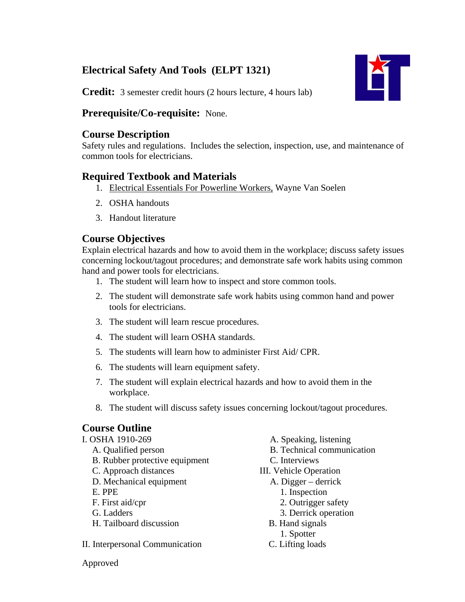# **Electrical Safety And Tools (ELPT 1321)**



**Credit:** 3 semester credit hours (2 hours lecture, 4 hours lab)

### **Prerequisite/Co-requisite:** None.

### **Course Description**

Safety rules and regulations. Includes the selection, inspection, use, and maintenance of common tools for electricians.

## **Required Textbook and Materials**

- 1. Electrical Essentials For Powerline Workers, Wayne Van Soelen
- 2. OSHA handouts
- 3. Handout literature

# **Course Objectives**

Explain electrical hazards and how to avoid them in the workplace; discuss safety issues concerning lockout/tagout procedures; and demonstrate safe work habits using common hand and power tools for electricians.

- 1. The student will learn how to inspect and store common tools.
- 2. The student will demonstrate safe work habits using common hand and power tools for electricians.
- 3. The student will learn rescue procedures.
- 4. The student will learn OSHA standards.
- 5. The students will learn how to administer First Aid/ CPR.
- 6. The students will learn equipment safety.
- 7. The student will explain electrical hazards and how to avoid them in the workplace.
- 8. The student will discuss safety issues concerning lockout/tagout procedures.

# **Course Outline**

| A. Speaking, listening            |
|-----------------------------------|
| <b>B.</b> Technical communication |
| C. Interviews                     |
| <b>III.</b> Vehicle Operation     |
| A. Digger – derrick               |
| 1. Inspection                     |
| 2. Outrigger safety               |
| 3. Derrick operation              |
| B. Hand signals                   |
| 1. Spotter                        |
| C. Lifting loads                  |
|                                   |

Approved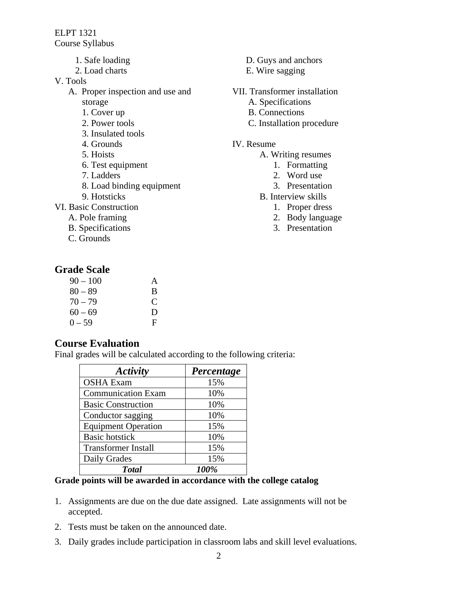ELPT 1321 Course Syllabus

- 1. Safe loading
- 2. Load charts
- V. Tools
	- A. Proper inspection and use and storage
		- 1. Cover up
		- 2. Power tools
		- 3. Insulated tools
		- 4. Grounds
		- 5. Hoists
		- 6. Test equipment
		- 7. Ladders
		- 8. Load binding equipment
		- 9. Hotsticks
- VI. Basic Construction
	- A. Pole framing
	- B. Specifications
	- C. Grounds

### **Grade Scale**

| $90 - 100$ | A |
|------------|---|
| $80 - 89$  | B |
| $70 - 79$  | C |
| $60 - 69$  | D |
| $0 - 59$   | F |

### **Course Evaluation**

Final grades will be calculated according to the following criteria:

| Activity                   | Percentage |
|----------------------------|------------|
| <b>OSHA Exam</b>           | 15%        |
| <b>Communication Exam</b>  | 10%        |
| <b>Basic Construction</b>  | 10%        |
| Conductor sagging          | 10%        |
| <b>Equipment Operation</b> | 15%        |
| <b>Basic hotstick</b>      | 10%        |
| <b>Transformer Install</b> | 15%        |
| Daily Grades               | 15%        |
| <b>T</b> otal              | 100%       |

#### **Grade points will be awarded in accordance with the college catalog**

- 1. Assignments are due on the due date assigned. Late assignments will not be accepted.
- 2. Tests must be taken on the announced date.
- 3. Daily grades include participation in classroom labs and skill level evaluations.
- D. Guys and anchors
- E. Wire sagging
- VII. Transformer installation
	- A. Specifications
	- B. Connections
	- C. Installation procedure

#### IV. Resume

- A. Writing resumes
	- 1. Formatting
	- 2. Word use
	- 3. Presentation
- B. Interview skills
	- 1. Proper dress
	- 2. Body language
	- 3. Presentation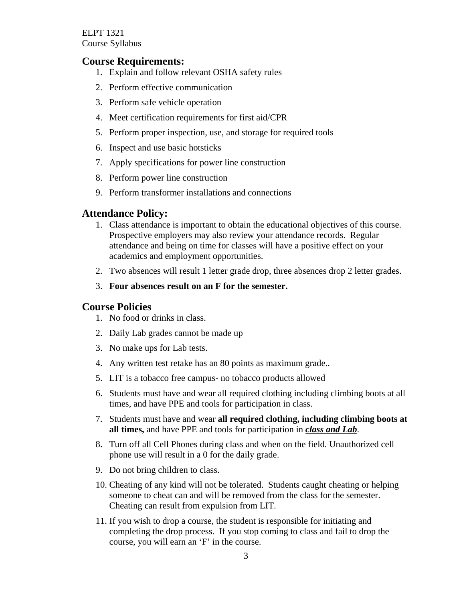ELPT 1321 Course Syllabus

#### **Course Requirements:**

- 1. Explain and follow relevant OSHA safety rules
- 2. Perform effective communication
- 3. Perform safe vehicle operation
- 4. Meet certification requirements for first aid/CPR
- 5. Perform proper inspection, use, and storage for required tools
- 6. Inspect and use basic hotsticks
- 7. Apply specifications for power line construction
- 8. Perform power line construction
- 9. Perform transformer installations and connections

#### **Attendance Policy:**

- 1. Class attendance is important to obtain the educational objectives of this course. Prospective employers may also review your attendance records. Regular attendance and being on time for classes will have a positive effect on your academics and employment opportunities.
- 2. Two absences will result 1 letter grade drop, three absences drop 2 letter grades.
- 3. **Four absences result on an F for the semester.**

#### **Course Policies**

- 1. No food or drinks in class.
- 2. Daily Lab grades cannot be made up
- 3. No make ups for Lab tests.
- 4. Any written test retake has an 80 points as maximum grade..
- 5. LIT is a tobacco free campus- no tobacco products allowed
- 6. Students must have and wear all required clothing including climbing boots at all times, and have PPE and tools for participation in class.
- 7. Students must have and wear **all required clothing, including climbing boots at all times,** and have PPE and tools for participation in *class and Lab*.
- 8. Turn off all Cell Phones during class and when on the field. Unauthorized cell phone use will result in a 0 for the daily grade.
- 9. Do not bring children to class.
- 10. Cheating of any kind will not be tolerated. Students caught cheating or helping someone to cheat can and will be removed from the class for the semester. Cheating can result from expulsion from LIT.
- 11. If you wish to drop a course, the student is responsible for initiating and completing the drop process. If you stop coming to class and fail to drop the course, you will earn an 'F' in the course.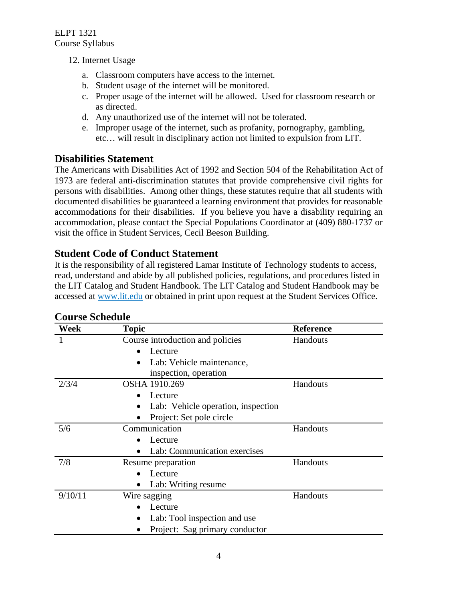- 12. Internet Usage
	- a. Classroom computers have access to the internet.
	- b. Student usage of the internet will be monitored.
	- c. Proper usage of the internet will be allowed. Used for classroom research or as directed.
	- d. Any unauthorized use of the internet will not be tolerated.
	- e. Improper usage of the internet, such as profanity, pornography, gambling, etc… will result in disciplinary action not limited to expulsion from LIT.

## **Disabilities Statement**

The Americans with Disabilities Act of 1992 and Section 504 of the Rehabilitation Act of 1973 are federal anti-discrimination statutes that provide comprehensive civil rights for persons with disabilities. Among other things, these statutes require that all students with documented disabilities be guaranteed a learning environment that provides for reasonable accommodations for their disabilities. If you believe you have a disability requiring an accommodation, please contact the Special Populations Coordinator at (409) 880-1737 or visit the office in Student Services, Cecil Beeson Building.

### **Student Code of Conduct Statement**

It is the responsibility of all registered Lamar Institute of Technology students to access, read, understand and abide by all published policies, regulations, and procedures listed in the LIT Catalog and Student Handbook. The LIT Catalog and Student Handbook may be accessed at www.lit.edu or obtained in print upon request at the Student Services Office.

| Week    | <b>Topic</b>                       | <b>Reference</b> |
|---------|------------------------------------|------------------|
|         | Course introduction and policies   | Handouts         |
|         | Lecture                            |                  |
|         | Lab: Vehicle maintenance,          |                  |
|         | inspection, operation              |                  |
| 2/3/4   | OSHA 1910.269                      | Handouts         |
|         | Lecture                            |                  |
|         | Lab: Vehicle operation, inspection |                  |
|         | Project: Set pole circle           |                  |
| 5/6     | Communication                      | Handouts         |
|         | Lecture                            |                  |
|         | Lab: Communication exercises       |                  |
| 7/8     | Resume preparation                 | Handouts         |
|         | Lecture                            |                  |
|         | Lab: Writing resume                |                  |
| 9/10/11 | Wire sagging                       | Handouts         |
|         | Lecture                            |                  |
|         | Lab: Tool inspection and use       |                  |
|         | Project: Sag primary conductor     |                  |

# **Course Schedule**